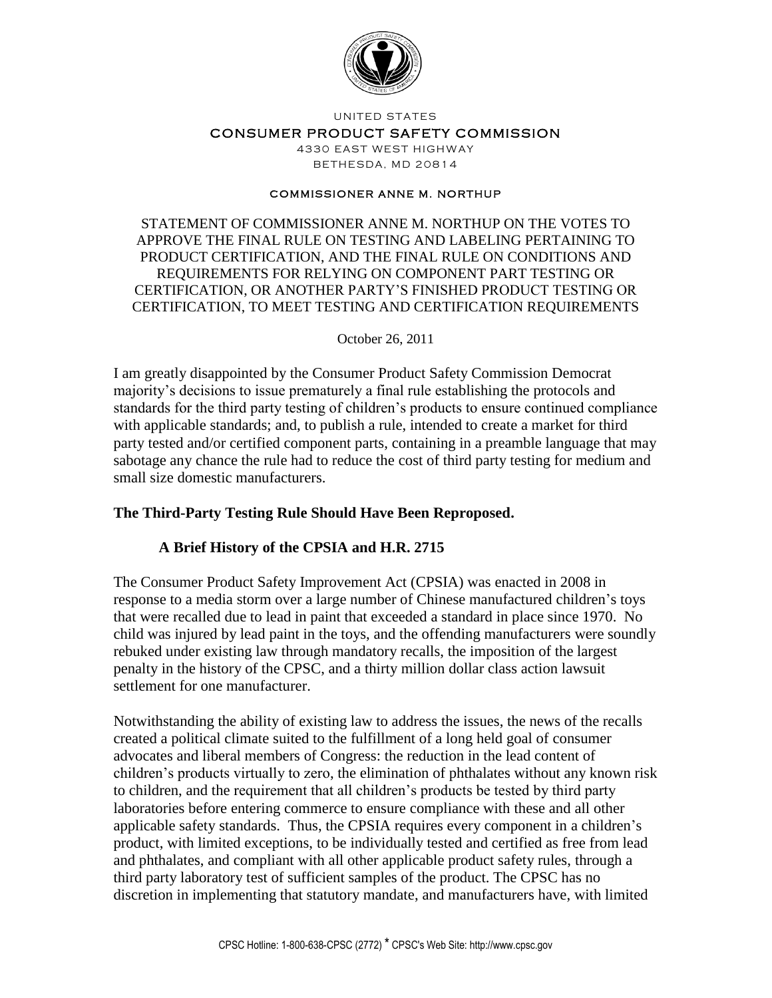

UNITED STATES

#### CONSUMER PRODUCT SAFETY COMMISSION

4330 EAST WEST HIGHWAY **BETHESDA, MD 20814** 

#### **COMMISSIONER ANNE M. NORTHUP**

STATEMENT OF COMMISSIONER ANNE M. NORTHUP ON THE VOTES TO APPROVE THE FINAL RULE ON TESTING AND LABELING PERTAINING TO PRODUCT CERTIFICATION, AND THE FINAL RULE ON CONDITIONS AND REQUIREMENTS FOR RELYING ON COMPONENT PART TESTING OR CERTIFICATION, OR ANOTHER PARTY'S FINISHED PRODUCT TESTING OR CERTIFICATION, TO MEET TESTING AND CERTIFICATION REQUIREMENTS

#### October 26, 2011

I am greatly disappointed by the Consumer Product Safety Commission Democrat majority's decisions to issue prematurely a final rule establishing the protocols and standards for the third party testing of children's products to ensure continued compliance with applicable standards; and, to publish a rule, intended to create a market for third party tested and/or certified component parts, containing in a preamble language that may sabotage any chance the rule had to reduce the cost of third party testing for medium and small size domestic manufacturers.

## **The Third-Party Testing Rule Should Have Been Reproposed.**

## **A Brief History of the CPSIA and H.R. 2715**

The Consumer Product Safety Improvement Act (CPSIA) was enacted in 2008 in response to a media storm over a large number of Chinese manufactured children's toys that were recalled due to lead in paint that exceeded a standard in place since 1970. No child was injured by lead paint in the toys, and the offending manufacturers were soundly rebuked under existing law through mandatory recalls, the imposition of the largest penalty in the history of the CPSC, and a thirty million dollar class action lawsuit settlement for one manufacturer.

Notwithstanding the ability of existing law to address the issues, the news of the recalls created a political climate suited to the fulfillment of a long held goal of consumer advocates and liberal members of Congress: the reduction in the lead content of children's products virtually to zero, the elimination of phthalates without any known risk to children, and the requirement that all children's products be tested by third party laboratories before entering commerce to ensure compliance with these and all other applicable safety standards. Thus, the CPSIA requires every component in a children's product, with limited exceptions, to be individually tested and certified as free from lead and phthalates, and compliant with all other applicable product safety rules, through a third party laboratory test of sufficient samples of the product. The CPSC has no discretion in implementing that statutory mandate, and manufacturers have, with limited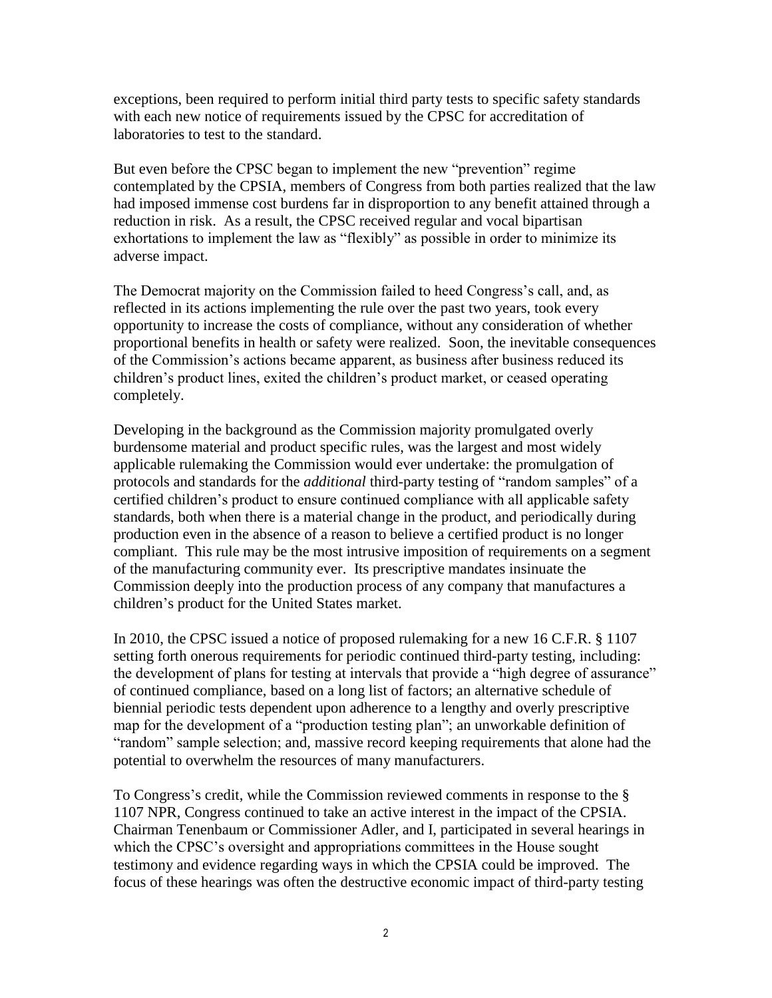exceptions, been required to perform initial third party tests to specific safety standards with each new notice of requirements issued by the CPSC for accreditation of laboratories to test to the standard.

But even before the CPSC began to implement the new "prevention" regime contemplated by the CPSIA, members of Congress from both parties realized that the law had imposed immense cost burdens far in disproportion to any benefit attained through a reduction in risk. As a result, the CPSC received regular and vocal bipartisan exhortations to implement the law as "flexibly" as possible in order to minimize its adverse impact.

The Democrat majority on the Commission failed to heed Congress's call, and, as reflected in its actions implementing the rule over the past two years, took every opportunity to increase the costs of compliance, without any consideration of whether proportional benefits in health or safety were realized. Soon, the inevitable consequences of the Commission's actions became apparent, as business after business reduced its children's product lines, exited the children's product market, or ceased operating completely.

Developing in the background as the Commission majority promulgated overly burdensome material and product specific rules, was the largest and most widely applicable rulemaking the Commission would ever undertake: the promulgation of protocols and standards for the *additional* third-party testing of "random samples" of a certified children's product to ensure continued compliance with all applicable safety standards, both when there is a material change in the product, and periodically during production even in the absence of a reason to believe a certified product is no longer compliant. This rule may be the most intrusive imposition of requirements on a segment of the manufacturing community ever. Its prescriptive mandates insinuate the Commission deeply into the production process of any company that manufactures a children's product for the United States market.

In 2010, the CPSC issued a notice of proposed rulemaking for a new 16 C.F.R. § 1107 setting forth onerous requirements for periodic continued third-party testing, including: the development of plans for testing at intervals that provide a "high degree of assurance" of continued compliance, based on a long list of factors; an alternative schedule of biennial periodic tests dependent upon adherence to a lengthy and overly prescriptive map for the development of a "production testing plan"; an unworkable definition of "random" sample selection; and, massive record keeping requirements that alone had the potential to overwhelm the resources of many manufacturers.

To Congress's credit, while the Commission reviewed comments in response to the § 1107 NPR, Congress continued to take an active interest in the impact of the CPSIA. Chairman Tenenbaum or Commissioner Adler, and I, participated in several hearings in which the CPSC's oversight and appropriations committees in the House sought testimony and evidence regarding ways in which the CPSIA could be improved. The focus of these hearings was often the destructive economic impact of third-party testing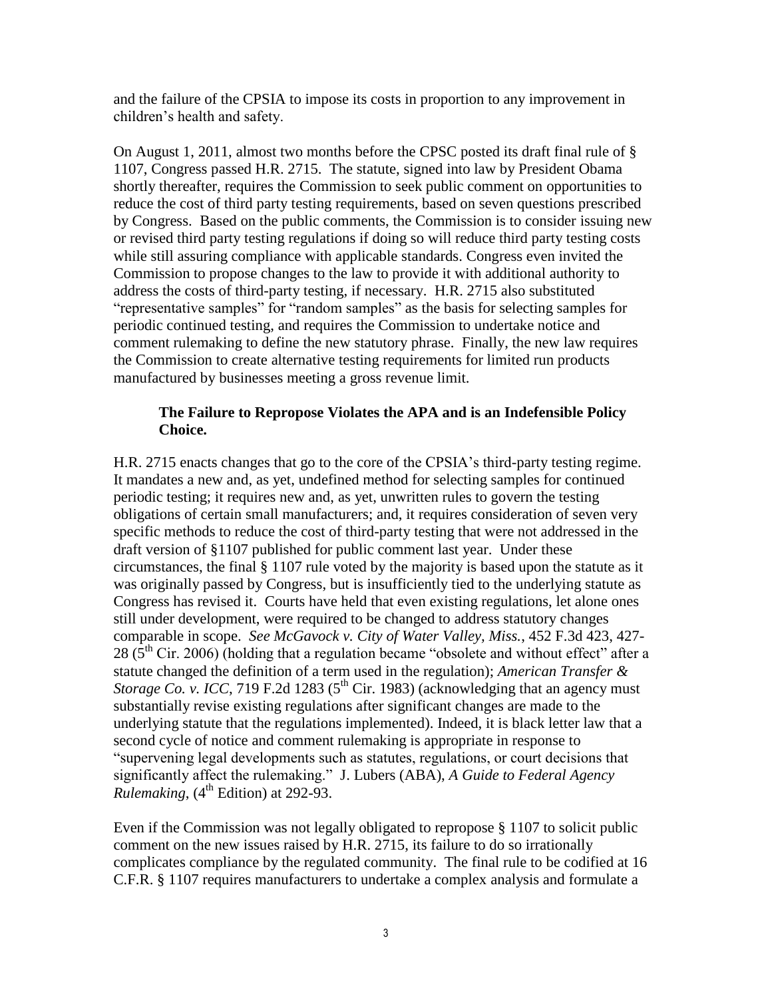and the failure of the CPSIA to impose its costs in proportion to any improvement in children's health and safety.

On August 1, 2011, almost two months before the CPSC posted its draft final rule of § 1107, Congress passed H.R. 2715. The statute, signed into law by President Obama shortly thereafter, requires the Commission to seek public comment on opportunities to reduce the cost of third party testing requirements, based on seven questions prescribed by Congress. Based on the public comments, the Commission is to consider issuing new or revised third party testing regulations if doing so will reduce third party testing costs while still assuring compliance with applicable standards. Congress even invited the Commission to propose changes to the law to provide it with additional authority to address the costs of third-party testing, if necessary. H.R. 2715 also substituted "representative samples" for "random samples" as the basis for selecting samples for periodic continued testing, and requires the Commission to undertake notice and comment rulemaking to define the new statutory phrase. Finally, the new law requires the Commission to create alternative testing requirements for limited run products manufactured by businesses meeting a gross revenue limit.

# **The Failure to Repropose Violates the APA and is an Indefensible Policy Choice.**

H.R. 2715 enacts changes that go to the core of the CPSIA's third-party testing regime. It mandates a new and, as yet, undefined method for selecting samples for continued periodic testing; it requires new and, as yet, unwritten rules to govern the testing obligations of certain small manufacturers; and, it requires consideration of seven very specific methods to reduce the cost of third-party testing that were not addressed in the draft version of §1107 published for public comment last year. Under these circumstances, the final § 1107 rule voted by the majority is based upon the statute as it was originally passed by Congress, but is insufficiently tied to the underlying statute as Congress has revised it. Courts have held that even existing regulations, let alone ones still under development, were required to be changed to address statutory changes comparable in scope. *See McGavock v. City of Water Valley, Miss.*, 452 F.3d 423, 427-  $28$  ( $5<sup>th</sup>$  Cir. 2006) (holding that a regulation became "obsolete and without effect" after a statute changed the definition of a term used in the regulation); *American Transfer & Storage Co. v. ICC*, 719 F.2d 1283 ( $5<sup>th</sup>$  Cir. 1983) (acknowledging that an agency must substantially revise existing regulations after significant changes are made to the underlying statute that the regulations implemented). Indeed, it is black letter law that a second cycle of notice and comment rulemaking is appropriate in response to "supervening legal developments such as statutes, regulations, or court decisions that significantly affect the rulemaking." J. Lubers (ABA), *A Guide to Federal Agency Rulemaking*,  $(4^{th}$  Edition) at 292-93.

Even if the Commission was not legally obligated to repropose § 1107 to solicit public comment on the new issues raised by H.R. 2715, its failure to do so irrationally complicates compliance by the regulated community. The final rule to be codified at 16 C.F.R. § 1107 requires manufacturers to undertake a complex analysis and formulate a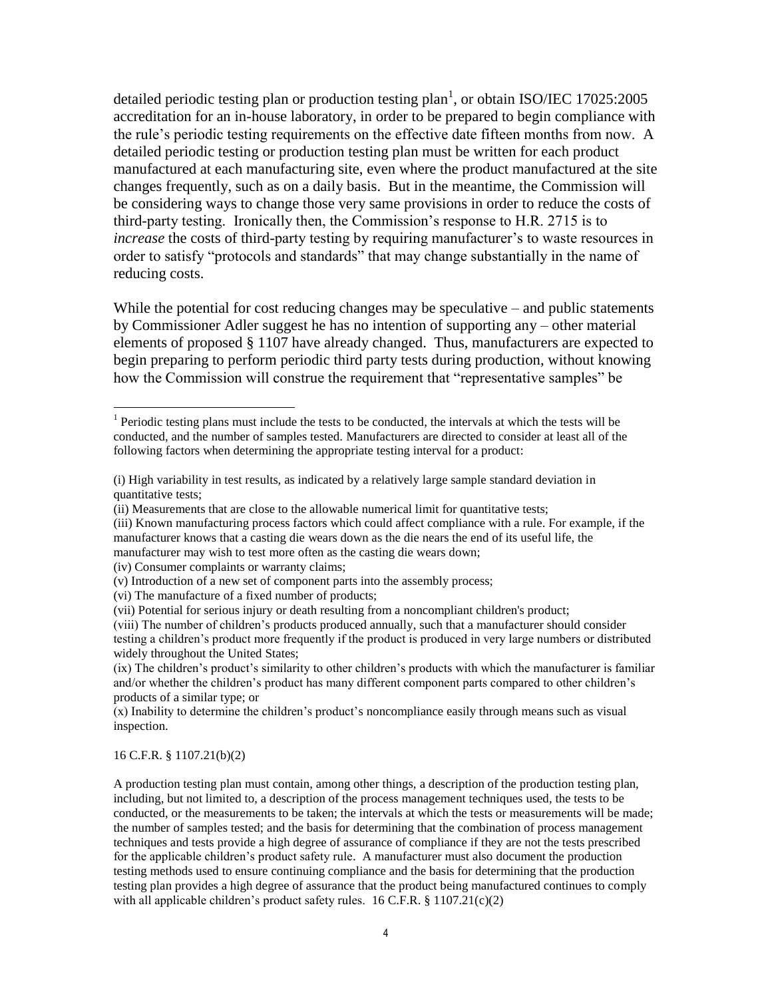detailed periodic testing plan or production testing plan<sup>1</sup>, or obtain ISO/IEC 17025:2005 accreditation for an in-house laboratory, in order to be prepared to begin compliance with the rule's periodic testing requirements on the effective date fifteen months from now. A detailed periodic testing or production testing plan must be written for each product manufactured at each manufacturing site, even where the product manufactured at the site changes frequently, such as on a daily basis. But in the meantime, the Commission will be considering ways to change those very same provisions in order to reduce the costs of third-party testing. Ironically then, the Commission's response to H.R. 2715 is to *increase* the costs of third-party testing by requiring manufacturer's to waste resources in order to satisfy "protocols and standards" that may change substantially in the name of reducing costs.

While the potential for cost reducing changes may be speculative – and public statements by Commissioner Adler suggest he has no intention of supporting any – other material elements of proposed § 1107 have already changed. Thus, manufacturers are expected to begin preparing to perform periodic third party tests during production, without knowing how the Commission will construe the requirement that "representative samples" be

(iv) Consumer complaints or warranty claims;

#### 16 C.F.R. § 1107.21(b)(2)

 $\overline{a}$ 

A production testing plan must contain, among other things, a description of the production testing plan, including, but not limited to, a description of the process management techniques used, the tests to be conducted, or the measurements to be taken; the intervals at which the tests or measurements will be made; the number of samples tested; and the basis for determining that the combination of process management techniques and tests provide a high degree of assurance of compliance if they are not the tests prescribed for the applicable children's product safety rule. A manufacturer must also document the production testing methods used to ensure continuing compliance and the basis for determining that the production testing plan provides a high degree of assurance that the product being manufactured continues to comply with all applicable children's product safety rules.  $16$  C.F.R. §  $1107.21(c)(2)$ 

<sup>&</sup>lt;sup>1</sup> Periodic testing plans must include the tests to be conducted, the intervals at which the tests will be conducted, and the number of samples tested. Manufacturers are directed to consider at least all of the following factors when determining the appropriate testing interval for a product:

<sup>(</sup>i) High variability in test results, as indicated by a relatively large sample standard deviation in quantitative tests;

<sup>(</sup>ii) Measurements that are close to the allowable numerical limit for quantitative tests;

<sup>(</sup>iii) Known manufacturing process factors which could affect compliance with a rule. For example, if the manufacturer knows that a casting die wears down as the die nears the end of its useful life, the manufacturer may wish to test more often as the casting die wears down;

<sup>(</sup>v) Introduction of a new set of component parts into the assembly process;

<sup>(</sup>vi) The manufacture of a fixed number of products;

<sup>(</sup>vii) Potential for serious injury or death resulting from a noncompliant children's product;

<sup>(</sup>viii) The number of children's products produced annually, such that a manufacturer should consider testing a children's product more frequently if the product is produced in very large numbers or distributed widely throughout the United States;

<sup>(</sup>ix) The children's product's similarity to other children's products with which the manufacturer is familiar and/or whether the children's product has many different component parts compared to other children's products of a similar type; or

<sup>(</sup>x) Inability to determine the children's product's noncompliance easily through means such as visual inspection.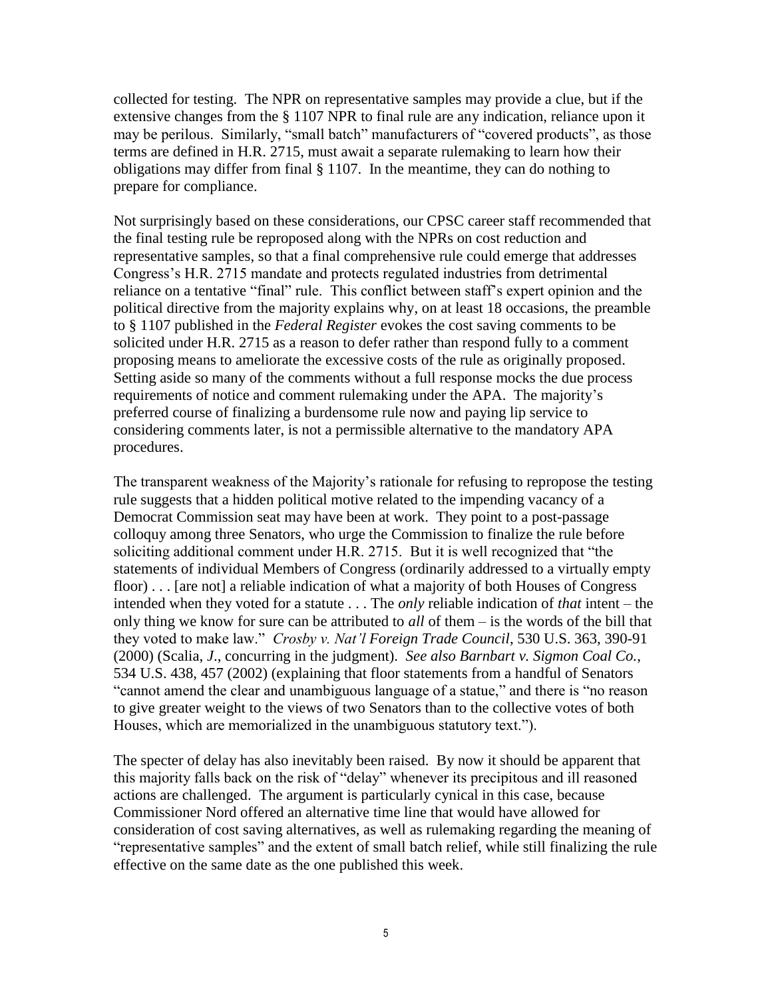collected for testing. The NPR on representative samples may provide a clue, but if the extensive changes from the § 1107 NPR to final rule are any indication, reliance upon it may be perilous. Similarly, "small batch" manufacturers of "covered products", as those terms are defined in H.R. 2715, must await a separate rulemaking to learn how their obligations may differ from final § 1107. In the meantime, they can do nothing to prepare for compliance.

Not surprisingly based on these considerations, our CPSC career staff recommended that the final testing rule be reproposed along with the NPRs on cost reduction and representative samples, so that a final comprehensive rule could emerge that addresses Congress's H.R. 2715 mandate and protects regulated industries from detrimental reliance on a tentative "final" rule. This conflict between staff's expert opinion and the political directive from the majority explains why, on at least 18 occasions, the preamble to § 1107 published in the *Federal Register* evokes the cost saving comments to be solicited under H.R. 2715 as a reason to defer rather than respond fully to a comment proposing means to ameliorate the excessive costs of the rule as originally proposed. Setting aside so many of the comments without a full response mocks the due process requirements of notice and comment rulemaking under the APA. The majority's preferred course of finalizing a burdensome rule now and paying lip service to considering comments later, is not a permissible alternative to the mandatory APA procedures.

The transparent weakness of the Majority's rationale for refusing to repropose the testing rule suggests that a hidden political motive related to the impending vacancy of a Democrat Commission seat may have been at work. They point to a post-passage colloquy among three Senators, who urge the Commission to finalize the rule before soliciting additional comment under H.R. 2715. But it is well recognized that "the statements of individual Members of Congress (ordinarily addressed to a virtually empty floor) . . . [are not] a reliable indication of what a majority of both Houses of Congress intended when they voted for a statute . . . The *only* reliable indication of *that* intent – the only thing we know for sure can be attributed to *all* of them – is the words of the bill that they voted to make law." *Crosby v. Nat'l Foreign Trade Council*, 530 U.S. 363, 390-91 (2000) (Scalia, *J*., concurring in the judgment). *See also Barnbart v. Sigmon Coal Co.*, 534 U.S. 438, 457 (2002) (explaining that floor statements from a handful of Senators "cannot amend the clear and unambiguous language of a statue," and there is "no reason to give greater weight to the views of two Senators than to the collective votes of both Houses, which are memorialized in the unambiguous statutory text.").

The specter of delay has also inevitably been raised. By now it should be apparent that this majority falls back on the risk of "delay" whenever its precipitous and ill reasoned actions are challenged. The argument is particularly cynical in this case, because Commissioner Nord offered an alternative time line that would have allowed for consideration of cost saving alternatives, as well as rulemaking regarding the meaning of "representative samples" and the extent of small batch relief, while still finalizing the rule effective on the same date as the one published this week.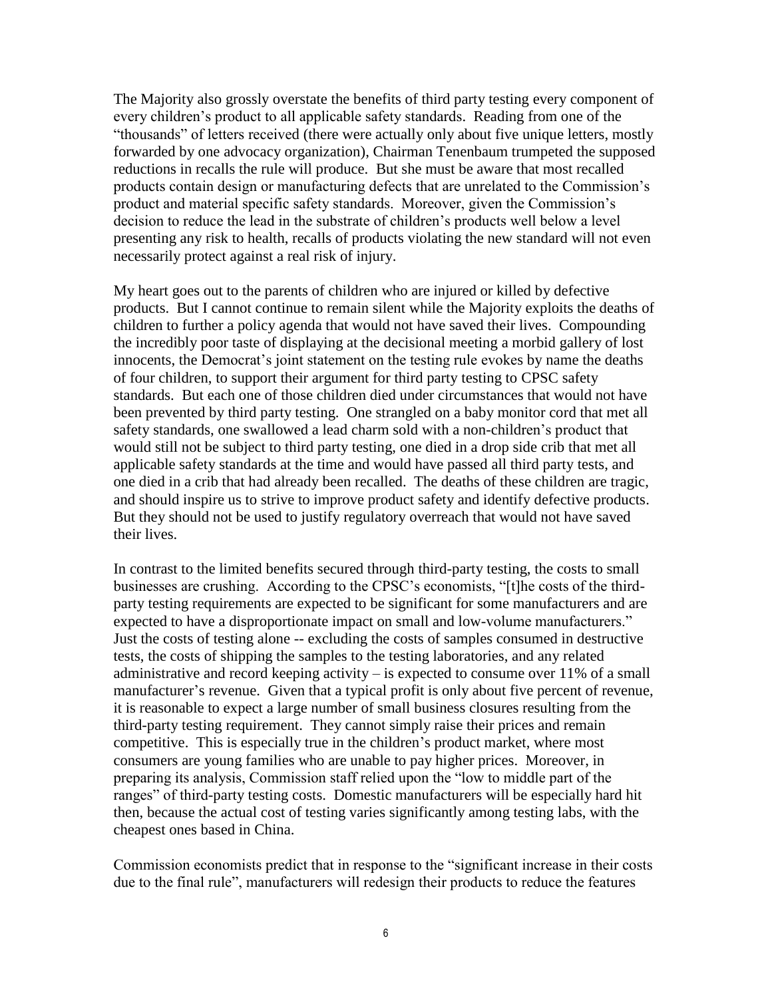The Majority also grossly overstate the benefits of third party testing every component of every children's product to all applicable safety standards. Reading from one of the "thousands" of letters received (there were actually only about five unique letters, mostly forwarded by one advocacy organization), Chairman Tenenbaum trumpeted the supposed reductions in recalls the rule will produce. But she must be aware that most recalled products contain design or manufacturing defects that are unrelated to the Commission's product and material specific safety standards. Moreover, given the Commission's decision to reduce the lead in the substrate of children's products well below a level presenting any risk to health, recalls of products violating the new standard will not even necessarily protect against a real risk of injury.

My heart goes out to the parents of children who are injured or killed by defective products. But I cannot continue to remain silent while the Majority exploits the deaths of children to further a policy agenda that would not have saved their lives. Compounding the incredibly poor taste of displaying at the decisional meeting a morbid gallery of lost innocents, the Democrat's joint statement on the testing rule evokes by name the deaths of four children, to support their argument for third party testing to CPSC safety standards. But each one of those children died under circumstances that would not have been prevented by third party testing. One strangled on a baby monitor cord that met all safety standards, one swallowed a lead charm sold with a non-children's product that would still not be subject to third party testing, one died in a drop side crib that met all applicable safety standards at the time and would have passed all third party tests, and one died in a crib that had already been recalled. The deaths of these children are tragic, and should inspire us to strive to improve product safety and identify defective products. But they should not be used to justify regulatory overreach that would not have saved their lives.

In contrast to the limited benefits secured through third-party testing, the costs to small businesses are crushing. According to the CPSC's economists, "[t]he costs of the thirdparty testing requirements are expected to be significant for some manufacturers and are expected to have a disproportionate impact on small and low-volume manufacturers." Just the costs of testing alone -- excluding the costs of samples consumed in destructive tests, the costs of shipping the samples to the testing laboratories, and any related administrative and record keeping activity – is expected to consume over 11% of a small manufacturer's revenue. Given that a typical profit is only about five percent of revenue, it is reasonable to expect a large number of small business closures resulting from the third-party testing requirement. They cannot simply raise their prices and remain competitive. This is especially true in the children's product market, where most consumers are young families who are unable to pay higher prices. Moreover, in preparing its analysis, Commission staff relied upon the "low to middle part of the ranges" of third-party testing costs. Domestic manufacturers will be especially hard hit then, because the actual cost of testing varies significantly among testing labs, with the cheapest ones based in China.

Commission economists predict that in response to the "significant increase in their costs due to the final rule", manufacturers will redesign their products to reduce the features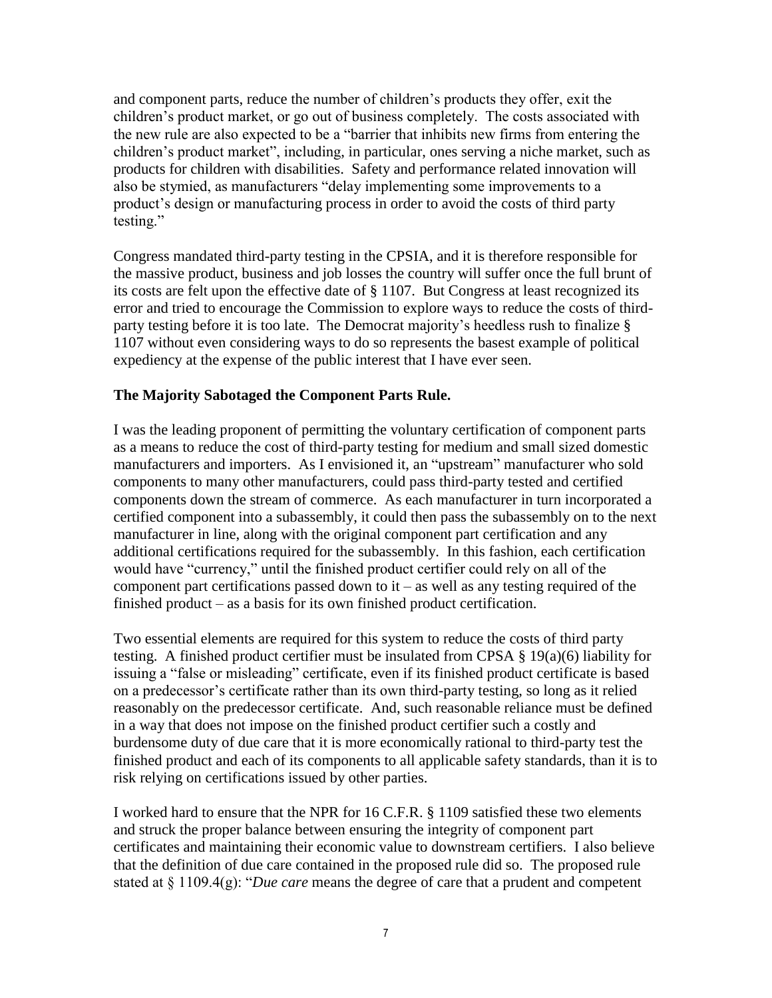and component parts, reduce the number of children's products they offer, exit the children's product market, or go out of business completely. The costs associated with the new rule are also expected to be a "barrier that inhibits new firms from entering the children's product market", including, in particular, ones serving a niche market, such as products for children with disabilities. Safety and performance related innovation will also be stymied, as manufacturers "delay implementing some improvements to a product's design or manufacturing process in order to avoid the costs of third party testing."

Congress mandated third-party testing in the CPSIA, and it is therefore responsible for the massive product, business and job losses the country will suffer once the full brunt of its costs are felt upon the effective date of § 1107. But Congress at least recognized its error and tried to encourage the Commission to explore ways to reduce the costs of thirdparty testing before it is too late. The Democrat majority's heedless rush to finalize § 1107 without even considering ways to do so represents the basest example of political expediency at the expense of the public interest that I have ever seen.

# **The Majority Sabotaged the Component Parts Rule.**

I was the leading proponent of permitting the voluntary certification of component parts as a means to reduce the cost of third-party testing for medium and small sized domestic manufacturers and importers. As I envisioned it, an "upstream" manufacturer who sold components to many other manufacturers, could pass third-party tested and certified components down the stream of commerce. As each manufacturer in turn incorporated a certified component into a subassembly, it could then pass the subassembly on to the next manufacturer in line, along with the original component part certification and any additional certifications required for the subassembly. In this fashion, each certification would have "currency," until the finished product certifier could rely on all of the component part certifications passed down to  $it -$  as well as any testing required of the finished product – as a basis for its own finished product certification.

Two essential elements are required for this system to reduce the costs of third party testing. A finished product certifier must be insulated from CPSA § 19(a)(6) liability for issuing a "false or misleading" certificate, even if its finished product certificate is based on a predecessor's certificate rather than its own third-party testing, so long as it relied reasonably on the predecessor certificate. And, such reasonable reliance must be defined in a way that does not impose on the finished product certifier such a costly and burdensome duty of due care that it is more economically rational to third-party test the finished product and each of its components to all applicable safety standards, than it is to risk relying on certifications issued by other parties.

I worked hard to ensure that the NPR for 16 C.F.R. § 1109 satisfied these two elements and struck the proper balance between ensuring the integrity of component part certificates and maintaining their economic value to downstream certifiers. I also believe that the definition of due care contained in the proposed rule did so. The proposed rule stated at § 1109.4(g): "*Due care* means the degree of care that a prudent and competent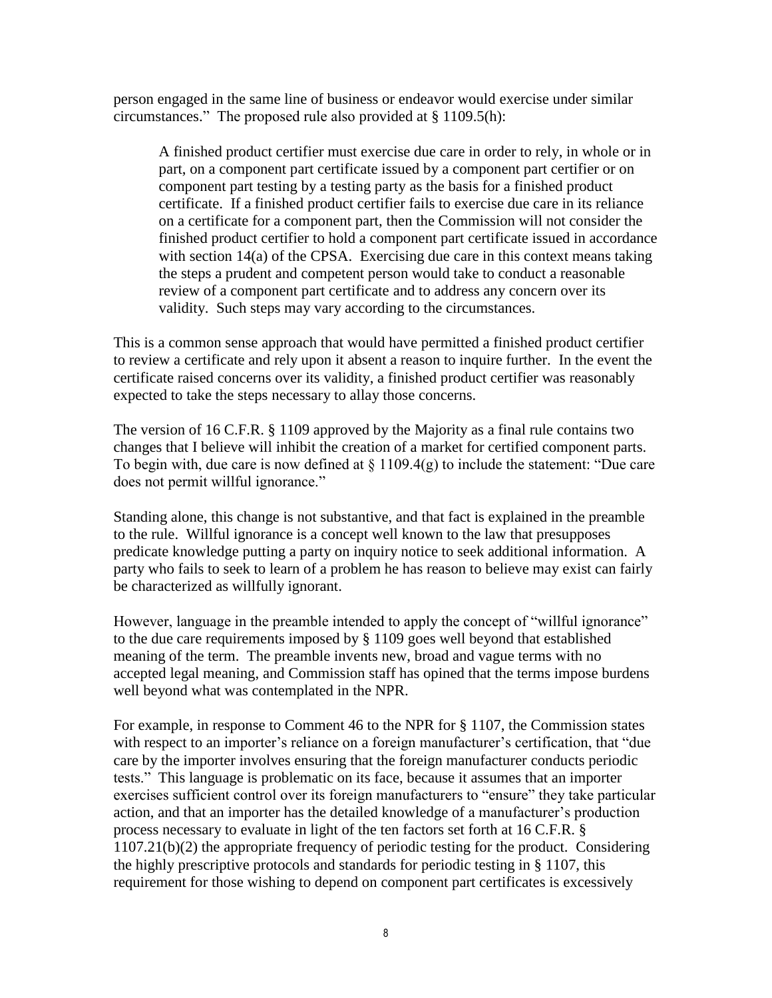person engaged in the same line of business or endeavor would exercise under similar circumstances." The proposed rule also provided at § 1109.5(h):

A finished product certifier must exercise due care in order to rely, in whole or in part, on a component part certificate issued by a component part certifier or on component part testing by a testing party as the basis for a finished product certificate. If a finished product certifier fails to exercise due care in its reliance on a certificate for a component part, then the Commission will not consider the finished product certifier to hold a component part certificate issued in accordance with section 14(a) of the CPSA. Exercising due care in this context means taking the steps a prudent and competent person would take to conduct a reasonable review of a component part certificate and to address any concern over its validity. Such steps may vary according to the circumstances.

This is a common sense approach that would have permitted a finished product certifier to review a certificate and rely upon it absent a reason to inquire further. In the event the certificate raised concerns over its validity, a finished product certifier was reasonably expected to take the steps necessary to allay those concerns.

The version of 16 C.F.R. § 1109 approved by the Majority as a final rule contains two changes that I believe will inhibit the creation of a market for certified component parts. To begin with, due care is now defined at  $\S 1109.4(g)$  to include the statement: "Due care does not permit willful ignorance."

Standing alone, this change is not substantive, and that fact is explained in the preamble to the rule. Willful ignorance is a concept well known to the law that presupposes predicate knowledge putting a party on inquiry notice to seek additional information. A party who fails to seek to learn of a problem he has reason to believe may exist can fairly be characterized as willfully ignorant.

However, language in the preamble intended to apply the concept of "willful ignorance" to the due care requirements imposed by § 1109 goes well beyond that established meaning of the term. The preamble invents new, broad and vague terms with no accepted legal meaning, and Commission staff has opined that the terms impose burdens well beyond what was contemplated in the NPR.

For example, in response to Comment 46 to the NPR for § 1107, the Commission states with respect to an importer's reliance on a foreign manufacturer's certification, that "due care by the importer involves ensuring that the foreign manufacturer conducts periodic tests." This language is problematic on its face, because it assumes that an importer exercises sufficient control over its foreign manufacturers to "ensure" they take particular action, and that an importer has the detailed knowledge of a manufacturer's production process necessary to evaluate in light of the ten factors set forth at 16 C.F.R. § 1107.21(b)(2) the appropriate frequency of periodic testing for the product. Considering the highly prescriptive protocols and standards for periodic testing in § 1107, this requirement for those wishing to depend on component part certificates is excessively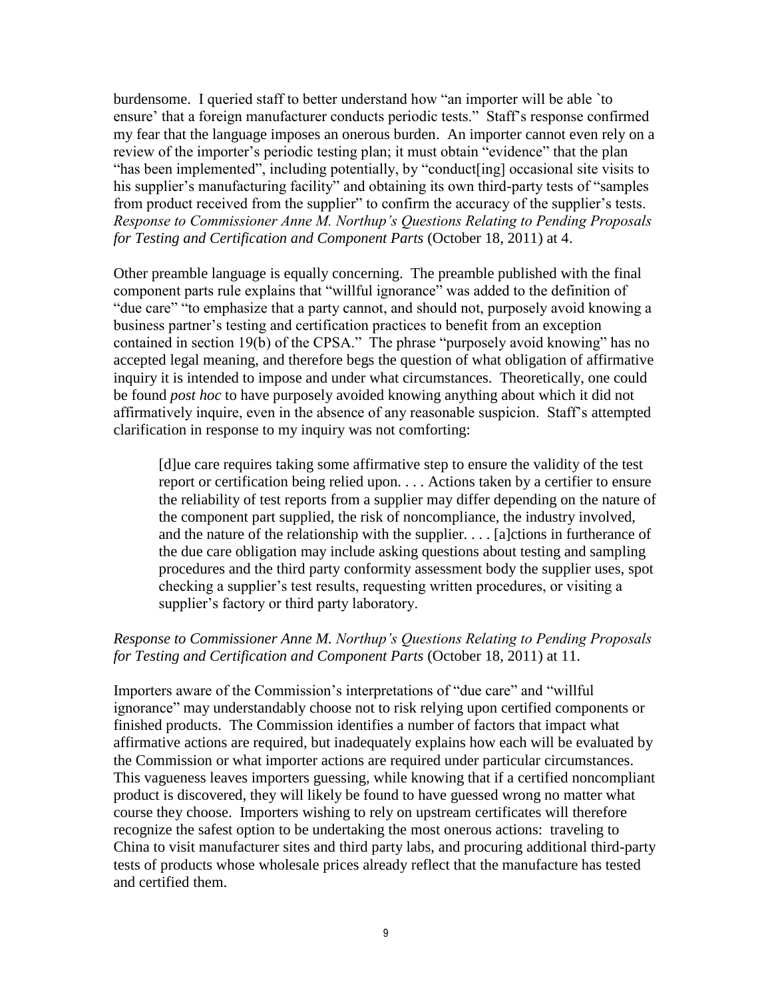burdensome. I queried staff to better understand how "an importer will be able `to ensure' that a foreign manufacturer conducts periodic tests." Staff's response confirmed my fear that the language imposes an onerous burden. An importer cannot even rely on a review of the importer's periodic testing plan; it must obtain "evidence" that the plan "has been implemented", including potentially, by "conduct[ing] occasional site visits to his supplier's manufacturing facility" and obtaining its own third-party tests of "samples" from product received from the supplier" to confirm the accuracy of the supplier's tests. *Response to Commissioner Anne M. Northup's Questions Relating to Pending Proposals for Testing and Certification and Component Parts* (October 18, 2011) at 4.

Other preamble language is equally concerning. The preamble published with the final component parts rule explains that "willful ignorance" was added to the definition of "due care" "to emphasize that a party cannot, and should not, purposely avoid knowing a business partner's testing and certification practices to benefit from an exception contained in section 19(b) of the CPSA." The phrase "purposely avoid knowing" has no accepted legal meaning, and therefore begs the question of what obligation of affirmative inquiry it is intended to impose and under what circumstances. Theoretically, one could be found *post hoc* to have purposely avoided knowing anything about which it did not affirmatively inquire, even in the absence of any reasonable suspicion. Staff's attempted clarification in response to my inquiry was not comforting:

[d]ue care requires taking some affirmative step to ensure the validity of the test report or certification being relied upon. . . . Actions taken by a certifier to ensure the reliability of test reports from a supplier may differ depending on the nature of the component part supplied, the risk of noncompliance, the industry involved, and the nature of the relationship with the supplier. . . . [a]ctions in furtherance of the due care obligation may include asking questions about testing and sampling procedures and the third party conformity assessment body the supplier uses, spot checking a supplier's test results, requesting written procedures, or visiting a supplier's factory or third party laboratory.

## *Response to Commissioner Anne M. Northup's Questions Relating to Pending Proposals for Testing and Certification and Component Parts* (October 18, 2011) at 11.

Importers aware of the Commission's interpretations of "due care" and "willful ignorance" may understandably choose not to risk relying upon certified components or finished products. The Commission identifies a number of factors that impact what affirmative actions are required, but inadequately explains how each will be evaluated by the Commission or what importer actions are required under particular circumstances. This vagueness leaves importers guessing, while knowing that if a certified noncompliant product is discovered, they will likely be found to have guessed wrong no matter what course they choose. Importers wishing to rely on upstream certificates will therefore recognize the safest option to be undertaking the most onerous actions: traveling to China to visit manufacturer sites and third party labs, and procuring additional third-party tests of products whose wholesale prices already reflect that the manufacture has tested and certified them.